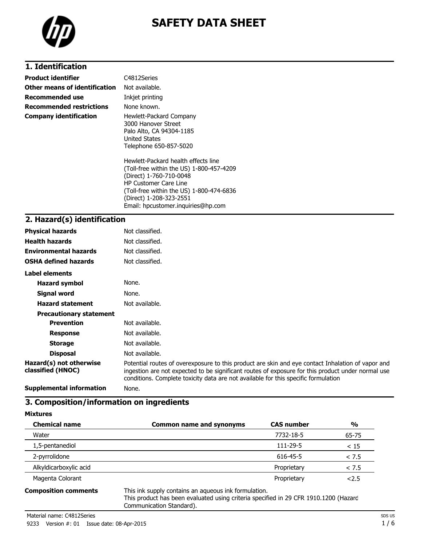

# **SAFETY DATA SHEET**

## **1. Identification**

| Product identifier            | C4812Series                                                                                                                                                                                                       |
|-------------------------------|-------------------------------------------------------------------------------------------------------------------------------------------------------------------------------------------------------------------|
| Other means of identification | Not available.                                                                                                                                                                                                    |
| Recommended use               | Inkjet printing                                                                                                                                                                                                   |
| Recommended restrictions      | None known.                                                                                                                                                                                                       |
| Company identification        | Hewlett-Packard Company<br>3000 Hanover Street<br>Palo Alto, CA 94304-1185<br><b>United States</b><br>Telephone 650-857-5020                                                                                      |
|                               | Hewlett-Packard health effects line<br>(Toll-free within the US) 1-800-457-4209<br>(Direct) 1-760-710-0048<br><b>HP Customer Care Line</b><br>(Toll-free within the US) 1-800-474-6836<br>(Direct) 1-208-323-2551 |

Email: hpcustomer.inquiries@hp.com

#### **2. Hazard(s) identification**

| <b>Physical hazards</b>                      | Not classified.                                                                                                                                                                                                                                                                              |
|----------------------------------------------|----------------------------------------------------------------------------------------------------------------------------------------------------------------------------------------------------------------------------------------------------------------------------------------------|
| <b>Health hazards</b>                        | Not classified.                                                                                                                                                                                                                                                                              |
| <b>Environmental hazards</b>                 | Not classified.                                                                                                                                                                                                                                                                              |
| <b>OSHA defined hazards</b>                  | Not classified.                                                                                                                                                                                                                                                                              |
| Label elements                               |                                                                                                                                                                                                                                                                                              |
| <b>Hazard symbol</b>                         | None.                                                                                                                                                                                                                                                                                        |
| Signal word                                  | None.                                                                                                                                                                                                                                                                                        |
| <b>Hazard statement</b>                      | Not available.                                                                                                                                                                                                                                                                               |
| <b>Precautionary statement</b>               |                                                                                                                                                                                                                                                                                              |
| <b>Prevention</b>                            | Not available.                                                                                                                                                                                                                                                                               |
| <b>Response</b>                              | Not available.                                                                                                                                                                                                                                                                               |
| <b>Storage</b>                               | Not available.                                                                                                                                                                                                                                                                               |
| <b>Disposal</b>                              | Not available.                                                                                                                                                                                                                                                                               |
| Hazard(s) not otherwise<br>classified (HNOC) | Potential routes of overexposure to this product are skin and eye contact Inhalation of vapor and<br>ingestion are not expected to be significant routes of exposure for this product under normal use<br>conditions. Complete toxicity data are not available for this specific formulation |
| <b>Supplemental information</b>              | None.                                                                                                                                                                                                                                                                                        |

## **3. Composition/information on ingredients**

**Mixtures**

| <b>Chemical name</b>               | <b>Common name and synonyms</b>                               | <b>CAS number</b> | $\frac{0}{0}$ |
|------------------------------------|---------------------------------------------------------------|-------------------|---------------|
| Water                              |                                                               | 7732-18-5         | 65-75         |
| 1,5-pentanediol                    |                                                               | 111-29-5          | < 15          |
| 2-pyrrolidone                      |                                                               | 616-45-5          | < 7.5         |
| Alkyldicarboxylic acid             |                                                               | Proprietary       | < 7.5         |
| Magenta Colorant                   |                                                               | Proprietary       | 2.5           |
| As main state in the moment of the | This islamate a contribution of contractor into Committed and |                   |               |

**Composition comments** This ink supply contains an aqueous ink formulation. This product has been evaluated using criteria specified in 29 CFR 1910.1200 (Hazard

Communication Standard).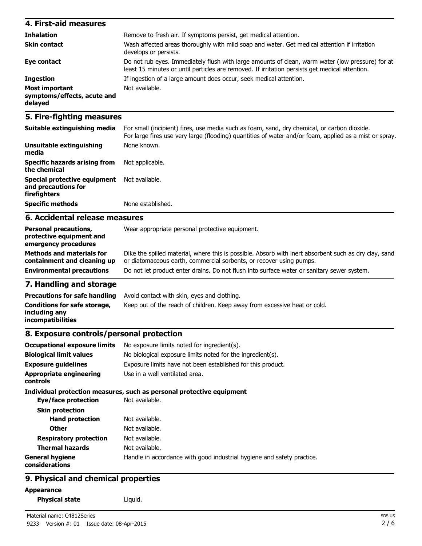| 4. First-aid measures                                    |                                                                                                                                                                                                    |
|----------------------------------------------------------|----------------------------------------------------------------------------------------------------------------------------------------------------------------------------------------------------|
| <b>Inhalation</b>                                        | Remove to fresh air. If symptoms persist, get medical attention.                                                                                                                                   |
| <b>Skin contact</b>                                      | Wash affected areas thoroughly with mild soap and water. Get medical attention if irritation<br>develops or persists.                                                                              |
| Eye contact                                              | Do not rub eyes. Immediately flush with large amounts of clean, warm water (low pressure) for at<br>least 15 minutes or until particles are removed. If irritation persists get medical attention. |
| <b>Ingestion</b>                                         | If ingestion of a large amount does occur, seek medical attention.                                                                                                                                 |
| Most important<br>symptoms/effects, acute and<br>delayed | Not available.                                                                                                                                                                                     |

### **5. Fire-fighting measures**

| Suitable extinguishing media                                        | For small (incipient) fires, use media such as foam, sand, dry chemical, or carbon dioxide.<br>For large fires use very large (flooding) quantities of water and/or foam, applied as a mist or spray. |
|---------------------------------------------------------------------|-------------------------------------------------------------------------------------------------------------------------------------------------------------------------------------------------------|
| Unsuitable extinguishing<br>media                                   | None known.                                                                                                                                                                                           |
| Specific hazards arising from<br>the chemical                       | Not applicable.                                                                                                                                                                                       |
| Special protective equipment<br>and precautions for<br>firefighters | Not available.                                                                                                                                                                                        |
| <b>Specific methods</b>                                             | None established.                                                                                                                                                                                     |

### **6. Accidental release measures**

| <b>Personal precautions,</b><br>protective equipment and<br>emergency procedures | Wear appropriate personal protective equipment.                                                                                                                              |
|----------------------------------------------------------------------------------|------------------------------------------------------------------------------------------------------------------------------------------------------------------------------|
| <b>Methods and materials for</b><br>containment and cleaning up                  | Dike the spilled material, where this is possible. Absorb with inert absorbent such as dry clay, sand<br>or diatomaceous earth, commercial sorbents, or recover using pumps. |
| <b>Environmental precautions</b>                                                 | Do not let product enter drains. Do not flush into surface water or sanitary sewer system.                                                                                   |
| <b>The Hotel different constitutions</b> and                                     |                                                                                                                                                                              |

#### **7. Handling and storage**

| <b>Precautions for safe handling</b>                               | Avoid contact with skin, eyes and clothing.                               |
|--------------------------------------------------------------------|---------------------------------------------------------------------------|
| Conditions for safe storage,<br>including anv<br>incompatibilities | Keep out of the reach of children. Keep away from excessive heat or cold. |

## **8. Exposure controls/personal protection**

| <b>Occupational exposure limits</b>               | No exposure limits noted for ingredient(s).                            |
|---------------------------------------------------|------------------------------------------------------------------------|
| <b>Biological limit values</b>                    | No biological exposure limits noted for the ingredient(s).             |
| <b>Exposure guidelines</b>                        | Exposure limits have not been established for this product.            |
| <b>Appropriate engineering</b><br><b>controls</b> | Use in a well ventilated area.                                         |
|                                                   | Individual protection measures, such as personal protective equipment  |
| Eye/face protection                               | Not available.                                                         |
| <b>Skin protection</b>                            |                                                                        |
| <b>Hand protection</b>                            | Not available.                                                         |
| <b>Other</b>                                      | Not available.                                                         |
| <b>Respiratory protection</b>                     | Not available.                                                         |
| <b>Thermal hazards</b>                            | Not available.                                                         |
| <b>General hygiene</b><br>considerations          | Handle in accordance with good industrial hygiene and safety practice. |

### **9. Physical and chemical properties**

### **Appearance**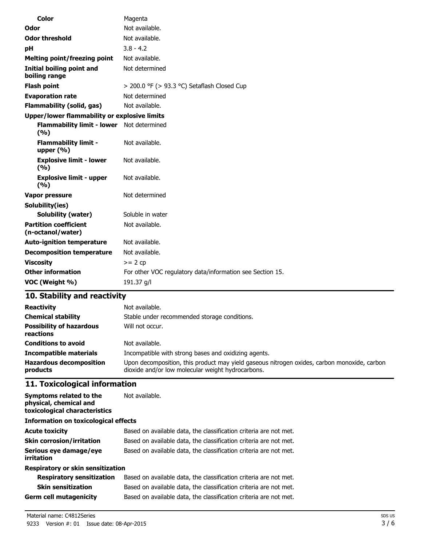| Color                                                   | Magenta                                                   |
|---------------------------------------------------------|-----------------------------------------------------------|
| Odor                                                    | Not available.                                            |
| <b>Odor threshold</b>                                   | Not available.                                            |
| рH                                                      | $3.8 - 4.2$                                               |
| <b>Melting point/freezing point</b>                     | Not available.                                            |
| <b>Initial boiling point and</b><br>boiling range       | Not determined                                            |
| <b>Flash point</b>                                      | > 200.0 °F (> 93.3 °C) Setaflash Closed Cup               |
| <b>Evaporation rate</b>                                 | Not determined                                            |
| <b>Flammability (solid, gas)</b>                        | Not available.                                            |
| Upper/lower flammability or explosive limits            |                                                           |
| <b>Flammability limit - lower</b> Not determined<br>(%) |                                                           |
| <b>Flammability limit -</b><br>upper $(\% )$            | Not available.                                            |
| <b>Explosive limit - lower</b><br>(%)                   | Not available.                                            |
| <b>Explosive limit - upper</b><br>(%)                   | Not available.                                            |
| Vapor pressure                                          | Not determined                                            |
| Solubility(ies)                                         |                                                           |
| Solubility (water)                                      | Soluble in water                                          |
| <b>Partition coefficient</b><br>(n-octanol/water)       | Not available.                                            |
| <b>Auto-ignition temperature</b>                        | Not available.                                            |
| <b>Decomposition temperature</b>                        | Not available.                                            |
| <b>Viscosity</b>                                        | $>= 2 cp$                                                 |
| <b>Other information</b>                                | For other VOC regulatory data/information see Section 15. |
| VOC (Weight %)                                          | 191.37 g/l                                                |

## **10. Stability and reactivity**

| <b>Reactivity</b><br><b>Chemical stability</b><br><b>Possibility of hazardous</b><br>reactions | Not available.<br>Stable under recommended storage conditions.<br>Will not occur.           |
|------------------------------------------------------------------------------------------------|---------------------------------------------------------------------------------------------|
| <b>Conditions to avoid</b>                                                                     | Not available.                                                                              |
| <b>Incompatible materials</b>                                                                  | Incompatible with strong bases and oxidizing agents.                                        |
| <b>Hazardous decomposition</b>                                                                 | Upon decomposition, this product may yield gaseous nitrogen oxides, carbon monoxide, carbon |
| products                                                                                       | dioxide and/or low molecular weight hydrocarbons.                                           |

## **11. Toxicological information**

| Symptoms related to the<br>physical, chemical and<br>toxicological characteristics | Not available.                                                    |
|------------------------------------------------------------------------------------|-------------------------------------------------------------------|
| Information on toxicological effects                                               |                                                                   |
| <b>Acute toxicity</b>                                                              | Based on available data, the classification criteria are not met. |
| <b>Skin corrosion/irritation</b>                                                   | Based on available data, the classification criteria are not met. |
| Serious eye damage/eye<br>irritation                                               | Based on available data, the classification criteria are not met. |
| Respiratory or skin sensitization                                                  |                                                                   |
| <b>Respiratory sensitization</b>                                                   | Based on available data, the classification criteria are not met. |
| <b>Skin sensitization</b>                                                          | Based on available data, the classification criteria are not met. |
| <b>Germ cell mutagenicity</b>                                                      | Based on available data, the classification criteria are not met. |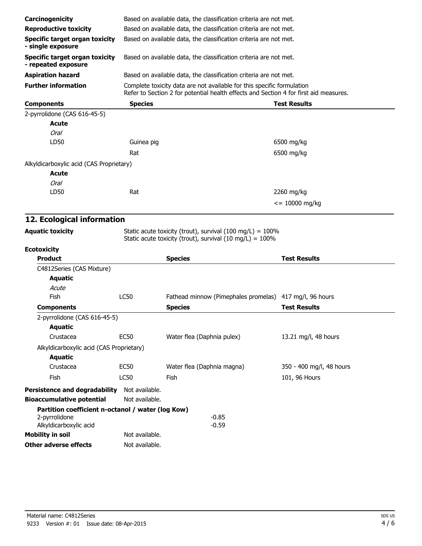| Carcinogenicity                                                                              |                | Based on available data, the classification criteria are not met.                                                                                               |                          |
|----------------------------------------------------------------------------------------------|----------------|-----------------------------------------------------------------------------------------------------------------------------------------------------------------|--------------------------|
| <b>Reproductive toxicity</b>                                                                 |                | Based on available data, the classification criteria are not met.                                                                                               |                          |
| <b>Specific target organ toxicity</b><br>- single exposure                                   |                | Based on available data, the classification criteria are not met.                                                                                               |                          |
| <b>Specific target organ toxicity</b><br>- repeated exposure                                 |                | Based on available data, the classification criteria are not met.                                                                                               |                          |
| <b>Aspiration hazard</b>                                                                     |                | Based on available data, the classification criteria are not met.                                                                                               |                          |
| <b>Further information</b>                                                                   |                | Complete toxicity data are not available for this specific formulation<br>Refer to Section 2 for potential health effects and Section 4 for first aid measures. |                          |
| <b>Components</b>                                                                            | <b>Species</b> |                                                                                                                                                                 | <b>Test Results</b>      |
| 2-pyrrolidone (CAS 616-45-5)                                                                 |                |                                                                                                                                                                 |                          |
| Acute                                                                                        |                |                                                                                                                                                                 |                          |
| Oral                                                                                         |                |                                                                                                                                                                 |                          |
| LD50                                                                                         | Guinea pig     |                                                                                                                                                                 | 6500 mg/kg               |
|                                                                                              | Rat            |                                                                                                                                                                 | 6500 mg/kg               |
| Alkyldicarboxylic acid (CAS Proprietary)                                                     |                |                                                                                                                                                                 |                          |
| Acute                                                                                        |                |                                                                                                                                                                 |                          |
| <b>Oral</b>                                                                                  |                |                                                                                                                                                                 |                          |
| LD50                                                                                         | Rat            |                                                                                                                                                                 | 2260 mg/kg               |
|                                                                                              |                |                                                                                                                                                                 | $\epsilon$ = 10000 mg/kg |
|                                                                                              |                |                                                                                                                                                                 |                          |
| 12. Ecological information                                                                   |                |                                                                                                                                                                 |                          |
| <b>Aquatic toxicity</b>                                                                      |                | Static acute toxicity (trout), survival (100 mg/L) = $100\%$                                                                                                    |                          |
|                                                                                              |                | Static acute toxicity (trout), survival (10 mg/L) = 100%                                                                                                        |                          |
| <b>Ecotoxicity</b>                                                                           |                |                                                                                                                                                                 |                          |
| <b>Product</b>                                                                               |                | <b>Species</b>                                                                                                                                                  | <b>Test Results</b>      |
| C4812Series (CAS Mixture)                                                                    |                |                                                                                                                                                                 |                          |
| <b>Aquatic</b>                                                                               |                |                                                                                                                                                                 |                          |
| Acute                                                                                        |                |                                                                                                                                                                 |                          |
| Fish                                                                                         | <b>LC50</b>    | Fathead minnow (Pimephales promelas)                                                                                                                            | 417 mg/l, 96 hours       |
| <b>Components</b>                                                                            |                | <b>Species</b>                                                                                                                                                  | <b>Test Results</b>      |
| 2-pyrrolidone (CAS 616-45-5)<br><b>Aquatic</b>                                               |                |                                                                                                                                                                 |                          |
| Crustacea                                                                                    | <b>EC50</b>    | Water flea (Daphnia pulex)                                                                                                                                      | 13.21 mg/l, 48 hours     |
| Alkyldicarboxylic acid (CAS Proprietary)                                                     |                |                                                                                                                                                                 |                          |
| <b>Aquatic</b>                                                                               |                |                                                                                                                                                                 |                          |
| Crustacea                                                                                    | <b>EC50</b>    | Water flea (Daphnia magna)                                                                                                                                      | 350 - 400 mg/l, 48 hours |
| Fish                                                                                         | <b>LC50</b>    | Fish                                                                                                                                                            | 101, 96 Hours            |
| <b>Persistence and degradability</b>                                                         | Not available. |                                                                                                                                                                 |                          |
| <b>Bioaccumulative potential</b>                                                             | Not available. |                                                                                                                                                                 |                          |
| Partition coefficient n-octanol / water (log Kow)<br>2-pyrrolidone<br>Alkyldicarboxylic acid |                | $-0.85$<br>$-0.59$                                                                                                                                              |                          |
|                                                                                              | Not available. |                                                                                                                                                                 |                          |
| <b>Mobility in soil</b><br><b>Other adverse effects</b>                                      | Not available. |                                                                                                                                                                 |                          |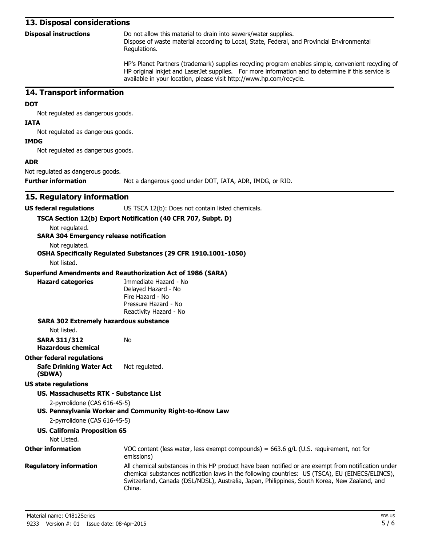#### **13. Disposal considerations**

| <b>Disposal instructions</b> | Do not allow this material to drain into sewers/water supplies.                            |
|------------------------------|--------------------------------------------------------------------------------------------|
|                              | Dispose of waste material according to Local, State, Federal, and Provincial Environmental |
|                              | Regulations.                                                                               |

HP's Planet Partners (trademark) supplies recycling program enables simple, convenient recycling of HP original inkjet and LaserJet supplies. For more information and to determine if this service is available in your location, please visit http://www.hp.com/recycle.

#### **14. Transport information**

#### **DOT**

Not regulated as dangerous goods.

#### **IATA**

Not regulated as dangerous goods.

#### **IMDG**

Not regulated as dangerous goods.

#### **ADR**

Not regulated as dangerous goods.

**Further information** Not a dangerous good under DOT, IATA, ADR, IMDG, or RID.

#### **15. Regulatory information**

**US federal regulations** US TSCA 12(b): Does not contain listed chemicals.

#### **TSCA Section 12(b) Export Notification (40 CFR 707, Subpt. D)**

Not regulated.

#### **SARA 304 Emergency release notification**

Not regulated.

#### **OSHA Specifically Regulated Substances (29 CFR 1910.1001-1050)**

Not listed.

#### **Superfund Amendments and Reauthorization Act of 1986 (SARA)**

No

**Hazard categories** Immediate Hazard - No Delayed Hazard - No Fire Hazard - No Pressure Hazard - No Reactivity Hazard - No

#### **SARA 302 Extremely hazardous substance**

Not listed.

**SARA 311/312 Hazardous chemical**

#### **Other federal regulations Safe Drinking Water Act (SDWA)** Not regulated.

#### **US state regulations**

**US. Massachusetts RTK - Substance List**

2-pyrrolidone (CAS 616-45-5)

#### **US. Pennsylvania Worker and Community Right-to-Know Law**

2-pyrrolidone (CAS 616-45-5)

#### **US. California Proposition 65**

#### Not Listed. **Other information** VOC content (less water, less exempt compounds) = 663.6 g/L (U.S. requirement, not for emissions) **Regulatory information** All chemical substances in this HP product have been notified or are exempt from notification under chemical substances notification laws in the following countries: US (TSCA), EU (EINECS/ELINCS), Switzerland, Canada (DSL/NDSL), Australia, Japan, Philippines, South Korea, New Zealand, and China.